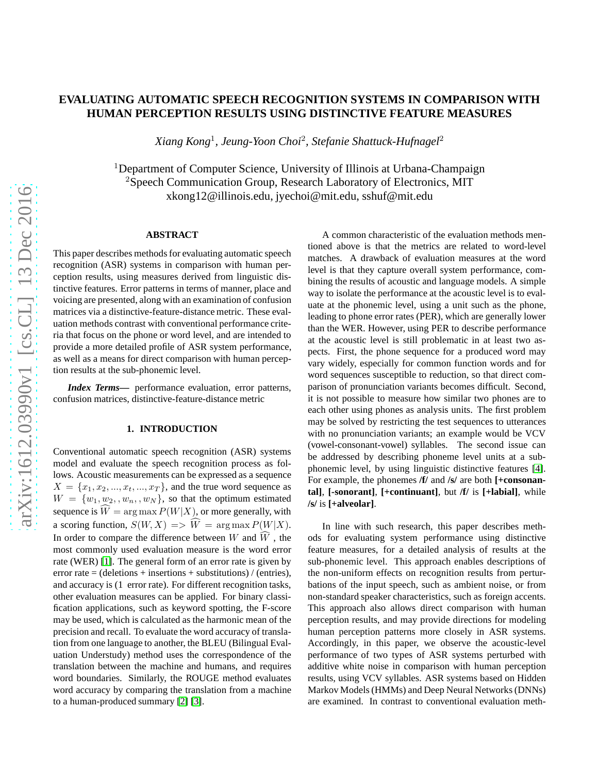# **EVALUATING AUTOMATIC SPEECH RECOGNITION SYSTEMS IN COMPARISON WITH HUMAN PERCEPTION RESULTS USING DISTINCTIVE FEATURE MEASURES**

*Xiang Kong*<sup>1</sup> *, Jeung-Yoon Choi*<sup>2</sup> *, Stefanie Shattuck-Hufnagel*<sup>2</sup>

<sup>1</sup>Department of Computer Science, University of Illinois at Urbana-Champaign <sup>2</sup>Speech Communication Group, Research Laboratory of Electronics, MIT xkong12@illinois.edu, jyechoi@mit.edu, sshuf@mit.edu

### **ABSTRACT**

This paper describes methods for evaluating automatic speech recognition (ASR) systems in comparison with human perception results, using measures derived from linguistic distinctive features. Error patterns in terms of manner, place and voicing are presented, along with an examination of confusion matrices via a distinctive-feature-distance metric. These evaluation methods contrast with conventional performance criteria that focus on the phone or word level, and are intended to provide a more detailed profile of ASR system performance, as well as a means for direct comparison with human perception results at the sub-phonemic level.

*Index Terms***—** performance evaluation, error patterns, confusion matrices, distinctive-feature-distance metric

### **1. INTRODUCTION**

Conventional automatic speech recognition (ASR) systems model and evaluate the speech recognition process as follows. Acoustic measurements can be expressed as a sequence  $X = \{x_1, x_2, \ldots, x_t, \ldots, x_T\}$ , and the true word sequence as  $W = \{w_1, w_2, , w_n, , w_N\}$ , so that the optimum estimated sequence is  $\widehat{W} = \arg \max P(W|X)$ , or more generally, with a scoring function,  $S(W, X) \implies \widehat{W} = \arg \max P(W|X)$ . In order to compare the difference between W and  $\widehat{W}$ , the most commonly used evaluation measure is the word error rate (WER) [\[1\]](#page-4-0). The general form of an error rate is given by error rate = (deletions + insertions + substitutions) / (entries), and accuracy is (1 error rate). For different recognition tasks, other evaluation measures can be applied. For binary classification applications, such as keyword spotting, the F-score may be used, which is calculated as the harmonic mean of the precision and recall. To evaluate the word accuracy of translation from one language to another, the BLEU (Bilingual Evaluation Understudy) method uses the correspondence of the translation between the machine and humans, and requires word boundaries. Similarly, the ROUGE method evaluates word accuracy by comparing the translation from a machine to a human-produced summary [\[2\]](#page-4-1) [\[3\]](#page-4-2).

A common characteristic of the evaluation methods mentioned above is that the metrics are related to word-level matches. A drawback of evaluation measures at the word level is that they capture overall system performance, combining the results of acoustic and language models. A simple way to isolate the performance at the acoustic level is to evaluate at the phonemic level, using a unit such as the phone, leading to phone error rates (PER), which are generally lower than the WER. However, using PER to describe performance at the acoustic level is still problematic in at least two aspects. First, the phone sequence for a produced word may vary widely, especially for common function words and for word sequences susceptible to reduction, so that direct comparison of pronunciation variants becomes difficult. Second, it is not possible to measure how similar two phones are to each other using phones as analysis units. The first problem may be solved by restricting the test sequences to utterances with no pronunciation variants; an example would be VCV (vowel-consonant-vowel) syllables. The second issue can be addressed by describing phoneme level units at a subphonemic level, by using linguistic distinctive features [\[4\]](#page-4-3). For example, the phonemes **/f/** and **/s/** are both **[+consonantal]**, **[-sonorant]**, **[+continuant]**, but **/f/** is **[+labial]**, while **/s/** is **[+alveolar]**.

In line with such research, this paper describes methods for evaluating system performance using distinctive feature measures, for a detailed analysis of results at the sub-phonemic level. This approach enables descriptions of the non-uniform effects on recognition results from perturbations of the input speech, such as ambient noise, or from non-standard speaker characteristics, such as foreign accents. This approach also allows direct comparison with human perception results, and may provide directions for modeling human perception patterns more closely in ASR systems. Accordingly, in this paper, we observe the acoustic-level performance of two types of ASR systems perturbed with additive white noise in comparison with human perception results, using VCV syllables. ASR systems based on Hidden Markov Models (HMMs) and Deep Neural Networks (DNNs) are examined. In contrast to conventional evaluation meth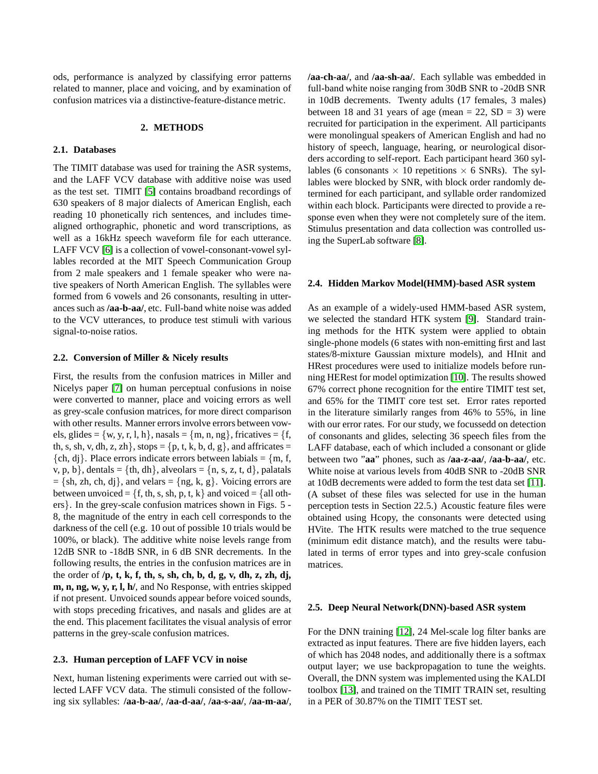ods, performance is analyzed by classifying error patterns related to manner, place and voicing, and by examination of confusion matrices via a distinctive-feature-distance metric.

## **2. METHODS**

### **2.1. Databases**

The TIMIT database was used for training the ASR systems, and the LAFF VCV database with additive noise was used as the test set. TIMIT [\[5\]](#page-4-4) contains broadband recordings of 630 speakers of 8 major dialects of American English, each reading 10 phonetically rich sentences, and includes timealigned orthographic, phonetic and word transcriptions, as well as a 16kHz speech waveform file for each utterance. LAFF VCV [\[6\]](#page-4-5) is a collection of vowel-consonant-vowel syllables recorded at the MIT Speech Communication Group from 2 male speakers and 1 female speaker who were native speakers of North American English. The syllables were formed from 6 vowels and 26 consonants, resulting in utterances such as **/aa-b-aa/**, etc. Full-band white noise was added to the VCV utterances, to produce test stimuli with various signal-to-noise ratios.

#### **2.2. Conversion of Miller & Nicely results**

First, the results from the confusion matrices in Miller and Nicelys paper [\[7\]](#page-4-6) on human perceptual confusions in noise were converted to manner, place and voicing errors as well as grey-scale confusion matrices, for more direct comparison with other results. Manner errors involve errors between vowels, glides =  $\{w, y, r, l, h\}$ , nasals =  $\{m, n, ng\}$ , fricatives =  $\{f, g\}$ th, s, sh, v, dh, z, zh}, stops =  $\{p, t, k, b, d, g\}$ , and affricates =  $\{ch, dj\}$ . Place errors indicate errors between labials =  $\{m, f,$ v, p, b}, dentals = {th, dh}, alveolars = {n, s, z, t, d}, palatals  $= \{sh, zh, ch, dj\}$ , and velars  $= \{ng, k, g\}$ . Voicing errors are between unvoiced =  $\{f, th, s, sh, p, t, k\}$  and voiced =  $\{all oth$ ers}. In the grey-scale confusion matrices shown in Figs. 5 - 8, the magnitude of the entry in each cell corresponds to the darkness of the cell (e.g. 10 out of possible 10 trials would be 100%, or black). The additive white noise levels range from 12dB SNR to -18dB SNR, in 6 dB SNR decrements. In the following results, the entries in the confusion matrices are in the order of **/p, t, k, f, th, s, sh, ch, b, d, g, v, dh, z, zh, dj, m, n, ng, w, y, r, l, h/**, and No Response, with entries skipped if not present. Unvoiced sounds appear before voiced sounds, with stops preceding fricatives, and nasals and glides are at the end. This placement facilitates the visual analysis of error patterns in the grey-scale confusion matrices.

### **2.3. Human perception of LAFF VCV in noise**

Next, human listening experiments were carried out with selected LAFF VCV data. The stimuli consisted of the following six syllables: **/aa-b-aa/**, **/aa-d-aa/**, **/aa-s-aa/**, **/aa-m-aa/**, **/aa-ch-aa/**, and **/aa-sh-aa/**. Each syllable was embedded in full-band white noise ranging from 30dB SNR to -20dB SNR in 10dB decrements. Twenty adults (17 females, 3 males) between 18 and 31 years of age (mean  $= 22$ , SD  $= 3$ ) were recruited for participation in the experiment. All participants were monolingual speakers of American English and had no history of speech, language, hearing, or neurological disorders according to self-report. Each participant heard 360 syllables (6 consonants  $\times$  10 repetitions  $\times$  6 SNRs). The syllables were blocked by SNR, with block order randomly determined for each participant, and syllable order randomized within each block. Participants were directed to provide a response even when they were not completely sure of the item. Stimulus presentation and data collection was controlled using the SuperLab software [\[8\]](#page-4-7).

#### **2.4. Hidden Markov Model(HMM)-based ASR system**

As an example of a widely-used HMM-based ASR system, we selected the standard HTK system [\[9\]](#page-4-8). Standard training methods for the HTK system were applied to obtain single-phone models (6 states with non-emitting first and last states/8-mixture Gaussian mixture models), and HInit and HRest procedures were used to initialize models before running HERest for model optimization [\[10\]](#page-4-9). The results showed 67% correct phone recognition for the entire TIMIT test set, and 65% for the TIMIT core test set. Error rates reported in the literature similarly ranges from 46% to 55%, in line with our error rates. For our study, we focussedd on detection of consonants and glides, selecting 36 speech files from the LAFF database, each of which included a consonant or glide between two "**aa**" phones, such as **/aa-z-aa/**, **/aa-b-aa/**, etc. White noise at various levels from 40dB SNR to -20dB SNR at 10dB decrements were added to form the test data set [\[11\]](#page-4-10). (A subset of these files was selected for use in the human perception tests in Section 22.5.) Acoustic feature files were obtained using Hcopy, the consonants were detected using HVite. The HTK results were matched to the true sequence (minimum edit distance match), and the results were tabulated in terms of error types and into grey-scale confusion matrices.

#### **2.5. Deep Neural Network(DNN)-based ASR system**

For the DNN training [\[12\]](#page-4-11), 24 Mel-scale log filter banks are extracted as input features. There are five hidden layers, each of which has 2048 nodes, and additionally there is a softmax output layer; we use backpropagation to tune the weights. Overall, the DNN system was implemented using the KALDI toolbox [\[13\]](#page-4-12), and trained on the TIMIT TRAIN set, resulting in a PER of 30.87% on the TIMIT TEST set.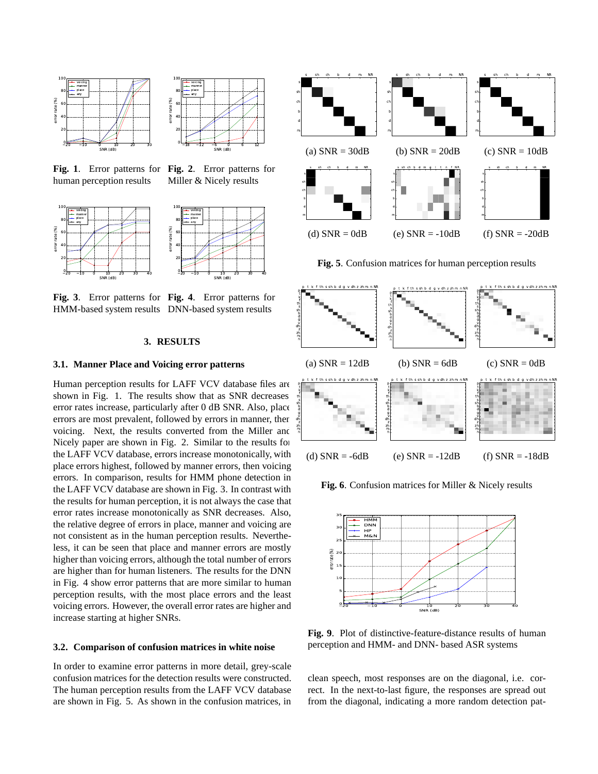



**Fig. 1**. Error patterns for **Fig. 2**. Error patterns for human perception results

Miller & Nicely results





**Fig. 3**. Error patterns for **Fig. 4**. Error patterns for HMM-based system results DNN-based system results

### **3. RESULTS**

### **3.1. Manner Place and Voicing error patterns**

Human perception results for LAFF VCV database files are shown in Fig. 1. The results show that as SNR decreases error rates increase, particularly after 0 dB SNR. Also, place errors are most prevalent, followed by errors in manner, then voicing. Next, the results converted from the Miller and Nicely paper are shown in Fig. 2. Similar to the results for the LAFF VCV database, errors increase monotonically, with place errors highest, followed by manner errors, then voicing errors. In comparison, results for HMM phone detection in the LAFF VCV database are shown in Fig. 3. In contrast with the results for human perception, it is not always the case that error rates increase monotonically as SNR decreases. Also, the relative degree of errors in place, manner and voicing are not consistent as in the human perception results. Nevertheless, it can be seen that place and manner errors are mostly higher than voicing errors, although the total number of errors are higher than for human listeners. The results for the DNN in Fig. 4 show error patterns that are more similar to human perception results, with the most place errors and the least voicing errors. However, the overall error rates are higher and increase starting at higher SNRs.

#### **3.2. Comparison of confusion matrices in white noise**

In order to examine error patterns in more detail, grey-scale confusion matrices for the detection results were constructed. The human perception results from the LAFF VCV database are shown in Fig. 5. As shown in the confusion matrices, in







**Fig. 6**. Confusion matrices for Miller & Nicely results



**Fig. 9**. Plot of distinctive-feature-distance results of human perception and HMM- and DNN- based ASR systems

clean speech, most responses are on the diagonal, i.e. correct. In the next-to-last figure, the responses are spread out from the diagonal, indicating a more random detection pat-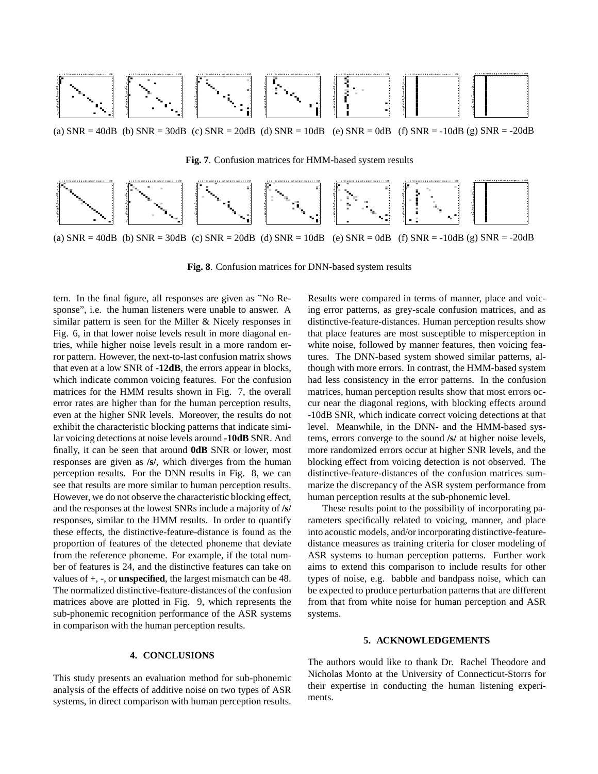

**Fig. 7**. Confusion matrices for HMM-based system results



**Fig. 8**. Confusion matrices for DNN-based system results

tern. In the final figure, all responses are given as "No Response", i.e. the human listeners were unable to answer. A similar pattern is seen for the Miller & Nicely responses in Fig. 6, in that lower noise levels result in more diagonal entries, while higher noise levels result in a more random error pattern. However, the next-to-last confusion matrix shows that even at a low SNR of **-12dB**, the errors appear in blocks, which indicate common voicing features. For the confusion matrices for the HMM results shown in Fig. 7, the overall error rates are higher than for the human perception results, even at the higher SNR levels. Moreover, the results do not exhibit the characteristic blocking patterns that indicate similar voicing detections at noise levels around **-10dB** SNR. And finally, it can be seen that around **0dB** SNR or lower, most responses are given as **/s/**, which diverges from the human perception results. For the DNN results in Fig. 8, we can see that results are more similar to human perception results. However, we do not observe the characteristic blocking effect, and the responses at the lowest SNRs include a majority of **/s/** responses, similar to the HMM results. In order to quantify these effects, the distinctive-feature-distance is found as the proportion of features of the detected phoneme that deviate from the reference phoneme. For example, if the total number of features is 24, and the distinctive features can take on values of **+**, **-**, or **unspecified**, the largest mismatch can be 48. The normalized distinctive-feature-distances of the confusion matrices above are plotted in Fig. 9, which represents the sub-phonemic recognition performance of the ASR systems in comparison with the human perception results.

# **4. CONCLUSIONS**

This study presents an evaluation method for sub-phonemic analysis of the effects of additive noise on two types of ASR systems, in direct comparison with human perception results.

Results were compared in terms of manner, place and voicing error patterns, as grey-scale confusion matrices, and as distinctive-feature-distances. Human perception results show that place features are most susceptible to misperception in white noise, followed by manner features, then voicing features. The DNN-based system showed similar patterns, although with more errors. In contrast, the HMM-based system had less consistency in the error patterns. In the confusion matrices, human perception results show that most errors occur near the diagonal regions, with blocking effects around -10dB SNR, which indicate correct voicing detections at that level. Meanwhile, in the DNN- and the HMM-based systems, errors converge to the sound **/s/** at higher noise levels, more randomized errors occur at higher SNR levels, and the blocking effect from voicing detection is not observed. The distinctive-feature-distances of the confusion matrices summarize the discrepancy of the ASR system performance from human perception results at the sub-phonemic level.

These results point to the possibility of incorporating parameters specifically related to voicing, manner, and place into acoustic models, and/or incorporating distinctive-featuredistance measures as training criteria for closer modeling of ASR systems to human perception patterns. Further work aims to extend this comparison to include results for other types of noise, e.g. babble and bandpass noise, which can be expected to produce perturbation patterns that are different from that from white noise for human perception and ASR systems.

### **5. ACKNOWLEDGEMENTS**

The authors would like to thank Dr. Rachel Theodore and Nicholas Monto at the University of Connecticut-Storrs for their expertise in conducting the human listening experiments.